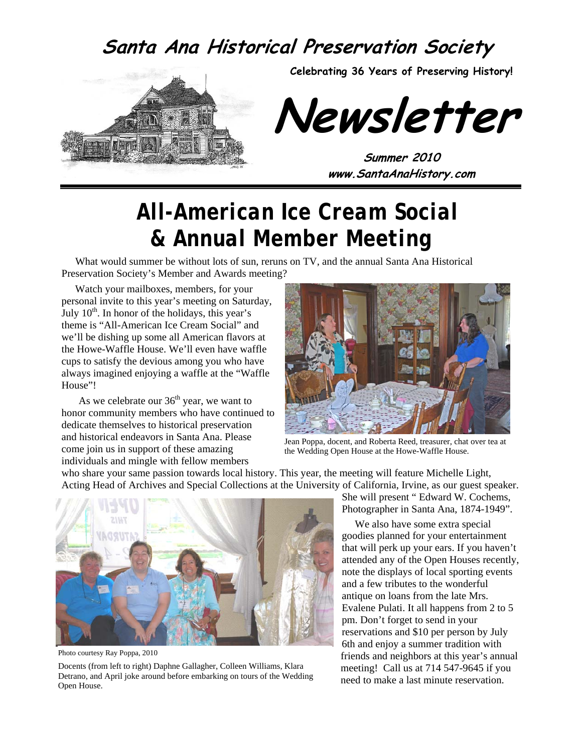#### **Santa Ana Historical Preservation Society**



**Celebrating 36 Years of Preserving History!** 

**Newsletter** 

**Summer 2010 www.SantaAnaHistory.com** 

## *All-American Ice Cream Social & Annual Member Meeting*

What would summer be without lots of sun, reruns on TV, and the annual Santa Ana Historical Preservation Society's Member and Awards meeting?

Watch your mailboxes, members, for your personal invite to this year's meeting on Saturday, July  $10<sup>th</sup>$ . In honor of the holidays, this year's theme is "All-American Ice Cream Social" and we'll be dishing up some all American flavors at the Howe-Waffle House. We'll even have waffle cups to satisfy the devious among you who have always imagined enjoying a waffle at the "Waffle House"!

As we celebrate our  $36<sup>th</sup>$  year, we want to honor community members who have continued to dedicate themselves to historical preservation and historical endeavors in Santa Ana. Please come join us in support of these amazing individuals and mingle with fellow members



Jean Poppa, docent, and Roberta Reed, treasurer, chat over tea at the Wedding Open House at the Howe-Waffle House.

who share your same passion towards local history. This year, the meeting will feature Michelle Light, Acting Head of Archives and Special Collections at the University of California, Irvine, as our guest speaker.



Photo courtesy Ray Poppa, 2010

Docents (from left to right) Daphne Gallagher, Colleen Williams, Klara Detrano, and April joke around before embarking on tours of the Wedding Open House.

She will present " Edward W. Cochems, Photographer in Santa Ana, 1874-1949".

 We also have some extra special goodies planned for your entertainment that will perk up your ears. If you haven't attended any of the Open Houses recently, note the displays of local sporting events and a few tributes to the wonderful antique on loans from the late Mrs. Evalene Pulati. It all happens from 2 to 5 pm. Don't forget to send in your reservations and \$10 per person by July 6th and enjoy a summer tradition with friends and neighbors at this year's annual meeting! Call us at 714 547-9645 if you need to make a last minute reservation.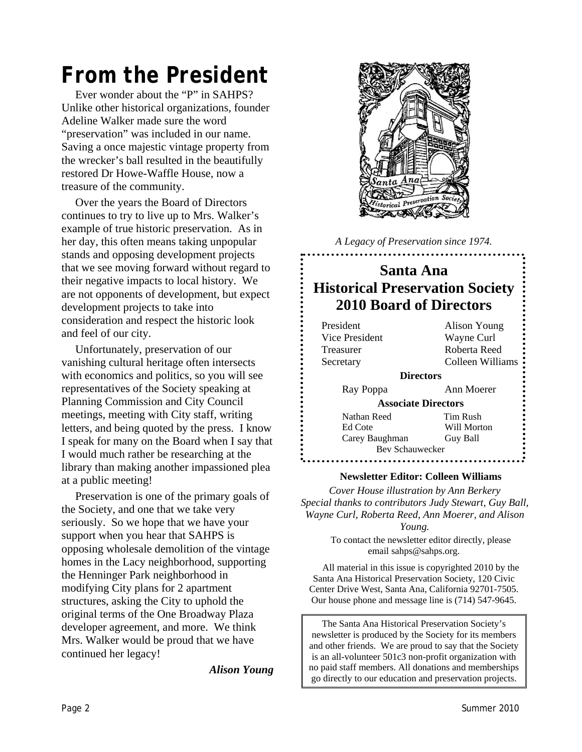# *From the President*

Ever wonder about the "P" in SAHPS? Unlike other historical organizations, founder Adeline Walker made sure the word "preservation" was included in our name. Saving a once majestic vintage property from the wrecker's ball resulted in the beautifully restored Dr Howe-Waffle House, now a treasure of the community.

Over the years the Board of Directors continues to try to live up to Mrs. Walker's example of true historic preservation. As in her day, this often means taking unpopular stands and opposing development projects that we see moving forward without regard to their negative impacts to local history. We are not opponents of development, but expect development projects to take into consideration and respect the historic look and feel of our city.

Unfortunately, preservation of our vanishing cultural heritage often intersects with economics and politics, so you will see representatives of the Society speaking at Planning Commission and City Council meetings, meeting with City staff, writing letters, and being quoted by the press. I know I speak for many on the Board when I say that I would much rather be researching at the library than making another impassioned plea at a public meeting!

Preservation is one of the primary goals of the Society, and one that we take very seriously. So we hope that we have your support when you hear that SAHPS is opposing wholesale demolition of the vintage homes in the Lacy neighborhood, supporting the Henninger Park neighborhood in modifying City plans for 2 apartment structures, asking the City to uphold the original terms of the One Broadway Plaza developer agreement, and more. We think Mrs. Walker would be proud that we have continued her legacy!

*Alison Young* 



*A Legacy of Preservation since 1974.* 

#### **Santa Ana Historical Preservation Society 2010 Board of Directors**

| President                  | Alison Young     |  |  |  |
|----------------------------|------------------|--|--|--|
| Vice President             | Wayne Curl       |  |  |  |
| Treasurer                  | Roberta Reed     |  |  |  |
| Secretary                  | Colleen Williams |  |  |  |
| <b>Directors</b>           |                  |  |  |  |
| Ray Poppa                  | Ann Moerer       |  |  |  |
| <b>Associate Directors</b> |                  |  |  |  |
| Nathan Reed                | Tim Rush         |  |  |  |
| Ed Cote                    | Will Morton      |  |  |  |
| Carey Baughman             | Guy Ball         |  |  |  |
| Bev Schauwecker            |                  |  |  |  |
|                            |                  |  |  |  |

#### **Newsletter Editor: Colleen Williams**

*Cover House illustration by Ann Berkery Special thanks to contributors Judy Stewart, Guy Ball, Wayne Curl, Roberta Reed, Ann Moerer, and Alison Young.* 

> To contact the newsletter editor directly, please email sahps@sahps.org.

All material in this issue is copyrighted 2010 by the Santa Ana Historical Preservation Society, 120 Civic Center Drive West, Santa Ana, California 92701-7505. Our house phone and message line is (714) 547-9645.

The Santa Ana Historical Preservation Society's newsletter is produced by the Society for its members and other friends. We are proud to say that the Society is an all-volunteer 501c3 non-profit organization with no paid staff members. All donations and memberships go directly to our education and preservation projects.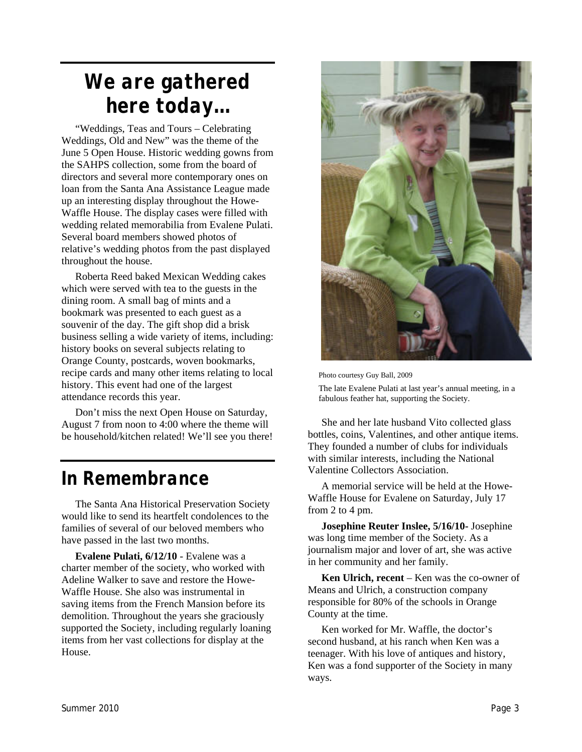## *We are gathered here today…*

"Weddings, Teas and Tours – Celebrating Weddings, Old and New" was the theme of the June 5 Open House. Historic wedding gowns from the SAHPS collection, some from the board of directors and several more contemporary ones on loan from the Santa Ana Assistance League made up an interesting display throughout the Howe-Waffle House. The display cases were filled with wedding related memorabilia from Evalene Pulati. Several board members showed photos of relative's wedding photos from the past displayed throughout the house.

Roberta Reed baked Mexican Wedding cakes which were served with tea to the guests in the dining room. A small bag of mints and a bookmark was presented to each guest as a souvenir of the day. The gift shop did a brisk business selling a wide variety of items, including: history books on several subjects relating to Orange County, postcards, woven bookmarks, recipe cards and many other items relating to local history. This event had one of the largest attendance records this year.

Don't miss the next Open House on Saturday, August 7 from noon to 4:00 where the theme will be household/kitchen related! We'll see you there!

#### *In Remembrance*

The Santa Ana Historical Preservation Society would like to send its heartfelt condolences to the families of several of our beloved members who have passed in the last two months.

**Evalene Pulati, 6/12/10** - Evalene was a charter member of the society, who worked with Adeline Walker to save and restore the Howe-Waffle House. She also was instrumental in saving items from the French Mansion before its demolition. Throughout the years she graciously supported the Society, including regularly loaning items from her vast collections for display at the House.



Photo courtesy Guy Ball, 2009

The late Evalene Pulati at last year's annual meeting, in a fabulous feather hat, supporting the Society.

She and her late husband Vito collected glass bottles, coins, Valentines, and other antique items. They founded a number of clubs for individuals with similar interests, including the National Valentine Collectors Association.

A memorial service will be held at the Howe-Waffle House for Evalene on Saturday, July 17 from 2 to 4 pm.

**Josephine Reuter Inslee, 5/16/10-** Josephine was long time member of the Society. As a journalism major and lover of art, she was active in her community and her family.

**Ken Ulrich, recent** – Ken was the co-owner of Means and Ulrich, a construction company responsible for 80% of the schools in Orange County at the time.

Ken worked for Mr. Waffle, the doctor's second husband, at his ranch when Ken was a teenager. With his love of antiques and history, Ken was a fond supporter of the Society in many ways.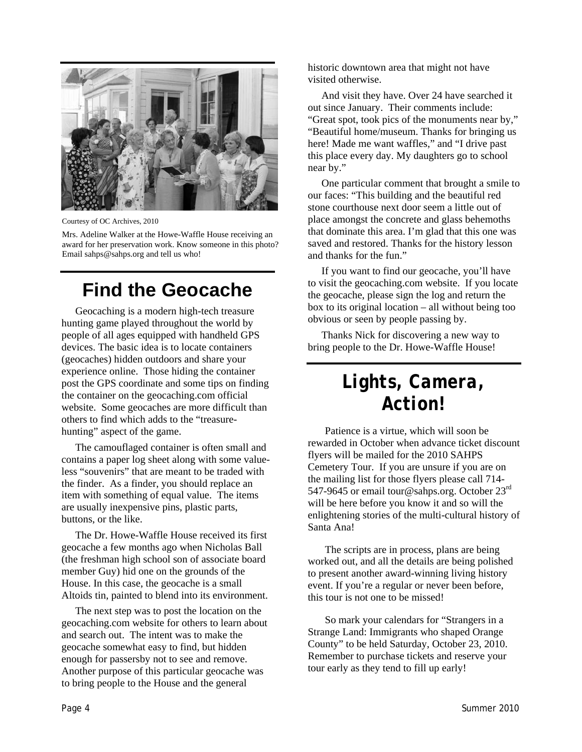

Courtesy of OC Archives, 2010

Mrs. Adeline Walker at the Howe-Waffle House receiving an award for her preservation work. Know someone in this photo? Email sahps@sahps.org and tell us who!

#### **Find the Geocache**

Geocaching is a modern high-tech treasure hunting game played throughout the world by people of all ages equipped with handheld GPS devices. The basic idea is to locate containers (geocaches) hidden outdoors and share your experience online. Those hiding the container post the GPS coordinate and some tips on finding the container on the geocaching.com official website. Some geocaches are more difficult than others to find which adds to the "treasurehunting" aspect of the game.

The camouflaged container is often small and contains a paper log sheet along with some valueless "souvenirs" that are meant to be traded with the finder. As a finder, you should replace an item with something of equal value. The items are usually inexpensive pins, plastic parts, buttons, or the like.

The Dr. Howe-Waffle House received its first geocache a few months ago when Nicholas Ball (the freshman high school son of associate board member Guy) hid one on the grounds of the House. In this case, the geocache is a small Altoids tin, painted to blend into its environment.

The next step was to post the location on the geocaching.com website for others to learn about and search out. The intent was to make the geocache somewhat easy to find, but hidden enough for passersby not to see and remove. Another purpose of this particular geocache was to bring people to the House and the general

historic downtown area that might not have visited otherwise.

And visit they have. Over 24 have searched it out since January. Their comments include: "Great spot, took pics of the monuments near by," "Beautiful home/museum. Thanks for bringing us here! Made me want waffles," and "I drive past this place every day. My daughters go to school near by."

One particular comment that brought a smile to our faces: "This building and the beautiful red stone courthouse next door seem a little out of place amongst the concrete and glass behemoths that dominate this area. I'm glad that this one was saved and restored. Thanks for the history lesson and thanks for the fun."

If you want to find our geocache, you'll have to visit the geocaching.com website. If you locate the geocache, please sign the log and return the box to its original location – all without being too obvious or seen by people passing by.

Thanks Nick for discovering a new way to bring people to the Dr. Howe-Waffle House!

## *Lights, Camera, Action!*

Patience is a virtue, which will soon be rewarded in October when advance ticket discount flyers will be mailed for the 2010 SAHPS Cemetery Tour. If you are unsure if you are on the mailing list for those flyers please call 714- 547-9645 or email tour@sahps.org. October 23<sup>rd</sup> will be here before you know it and so will the enlightening stories of the multi-cultural history of Santa Ana!

The scripts are in process, plans are being worked out, and all the details are being polished to present another award-winning living history event. If you're a regular or never been before, this tour is not one to be missed!

So mark your calendars for "Strangers in a Strange Land: Immigrants who shaped Orange County" to be held Saturday, October 23, 2010. Remember to purchase tickets and reserve your tour early as they tend to fill up early!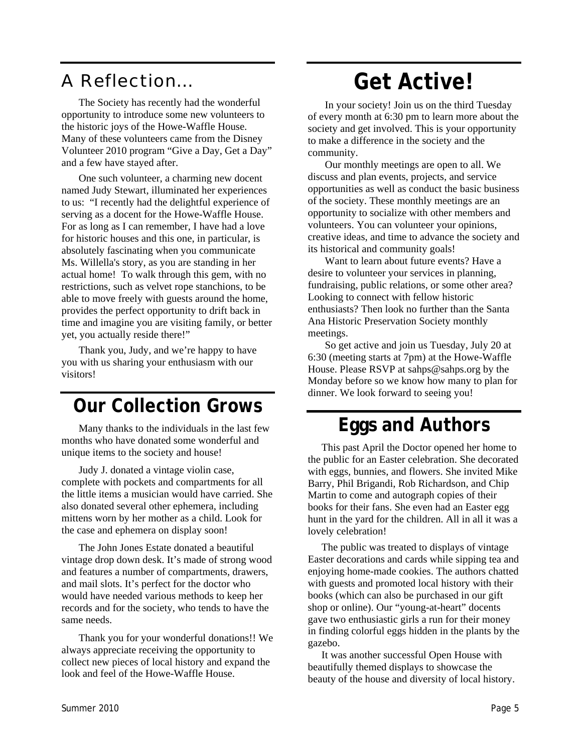#### A Reflection…

The Society has recently had the wonderful opportunity to introduce some new volunteers to the historic joys of the Howe-Waffle House. Many of these volunteers came from the Disney Volunteer 2010 program "Give a Day, Get a Day" and a few have stayed after.

One such volunteer, a charming new docent named Judy Stewart, illuminated her experiences to us: "I recently had the delightful experience of serving as a docent for the Howe-Waffle House. For as long as I can remember, I have had a love for historic houses and this one, in particular, is absolutely fascinating when you communicate Ms. Willella's story, as you are standing in her actual home! To walk through this gem, with no restrictions, such as velvet rope stanchions, to be able to move freely with guests around the home, provides the perfect opportunity to drift back in time and imagine you are visiting family, or better yet, you actually reside there!"

Thank you, Judy, and we're happy to have you with us sharing your enthusiasm with our visitors!

#### **Our Collection Grows**

Many thanks to the individuals in the last few months who have donated some wonderful and unique items to the society and house!

Judy J. donated a vintage violin case, complete with pockets and compartments for all the little items a musician would have carried. She also donated several other ephemera, including mittens worn by her mother as a child. Look for the case and ephemera on display soon!

The John Jones Estate donated a beautiful vintage drop down desk. It's made of strong wood and features a number of compartments, drawers, and mail slots. It's perfect for the doctor who would have needed various methods to keep her records and for the society, who tends to have the same needs.

Thank you for your wonderful donations!! We always appreciate receiving the opportunity to collect new pieces of local history and expand the look and feel of the Howe-Waffle House.

# **Get Active!**

In your society! Join us on the third Tuesday of every month at 6:30 pm to learn more about the society and get involved. This is your opportunity to make a difference in the society and the community.

Our monthly meetings are open to all. We discuss and plan events, projects, and service opportunities as well as conduct the basic business of the society. These monthly meetings are an opportunity to socialize with other members and volunteers. You can volunteer your opinions, creative ideas, and time to advance the society and its historical and community goals!

Want to learn about future events? Have a desire to volunteer your services in planning, fundraising, public relations, or some other area? Looking to connect with fellow historic enthusiasts? Then look no further than the Santa Ana Historic Preservation Society monthly meetings.

So get active and join us Tuesday, July 20 at 6:30 (meeting starts at 7pm) at the Howe-Waffle House. Please RSVP at sahps@sahps.org by the Monday before so we know how many to plan for dinner. We look forward to seeing you!

#### **Eggs and Authors**

This past April the Doctor opened her home to the public for an Easter celebration. She decorated with eggs, bunnies, and flowers. She invited Mike Barry, Phil Brigandi, Rob Richardson, and Chip Martin to come and autograph copies of their books for their fans. She even had an Easter egg hunt in the yard for the children. All in all it was a lovely celebration!

The public was treated to displays of vintage Easter decorations and cards while sipping tea and enjoying home-made cookies. The authors chatted with guests and promoted local history with their books (which can also be purchased in our gift shop or online). Our "young-at-heart" docents gave two enthusiastic girls a run for their money in finding colorful eggs hidden in the plants by the gazebo.

It was another successful Open House with beautifully themed displays to showcase the beauty of the house and diversity of local history.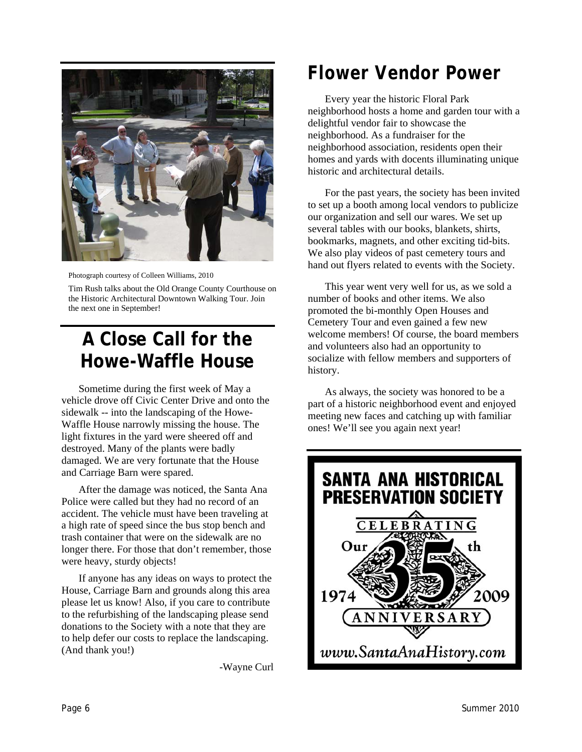

Photograph courtesy of Colleen Williams, 2010

Tim Rush talks about the Old Orange County Courthouse on the Historic Architectural Downtown Walking Tour. Join the next one in September!

## **A Close Call for the Howe-Waffle House**

Sometime during the first week of May a vehicle drove off Civic Center Drive and onto the sidewalk -- into the landscaping of the Howe-Waffle House narrowly missing the house. The light fixtures in the yard were sheered off and destroyed. Many of the plants were badly damaged. We are very fortunate that the House and Carriage Barn were spared.

After the damage was noticed, the Santa Ana Police were called but they had no record of an accident. The vehicle must have been traveling at a high rate of speed since the bus stop bench and trash container that were on the sidewalk are no longer there. For those that don't remember, those were heavy, sturdy objects!

If anyone has any ideas on ways to protect the House, Carriage Barn and grounds along this area please let us know! Also, if you care to contribute to the refurbishing of the landscaping please send donations to the Society with a note that they are to help defer our costs to replace the landscaping. (And thank you!)

-Wayne Curl

## *Flower Vendor Power*

Every year the historic Floral Park neighborhood hosts a home and garden tour with a delightful vendor fair to showcase the neighborhood. As a fundraiser for the neighborhood association, residents open their homes and yards with docents illuminating unique historic and architectural details.

For the past years, the society has been invited to set up a booth among local vendors to publicize our organization and sell our wares. We set up several tables with our books, blankets, shirts, bookmarks, magnets, and other exciting tid-bits. We also play videos of past cemetery tours and hand out flyers related to events with the Society.

This year went very well for us, as we sold a number of books and other items. We also promoted the bi-monthly Open Houses and Cemetery Tour and even gained a few new welcome members! Of course, the board members and volunteers also had an opportunity to socialize with fellow members and supporters of history.

As always, the society was honored to be a part of a historic neighborhood event and enjoyed meeting new faces and catching up with familiar ones! We'll see you again next year!

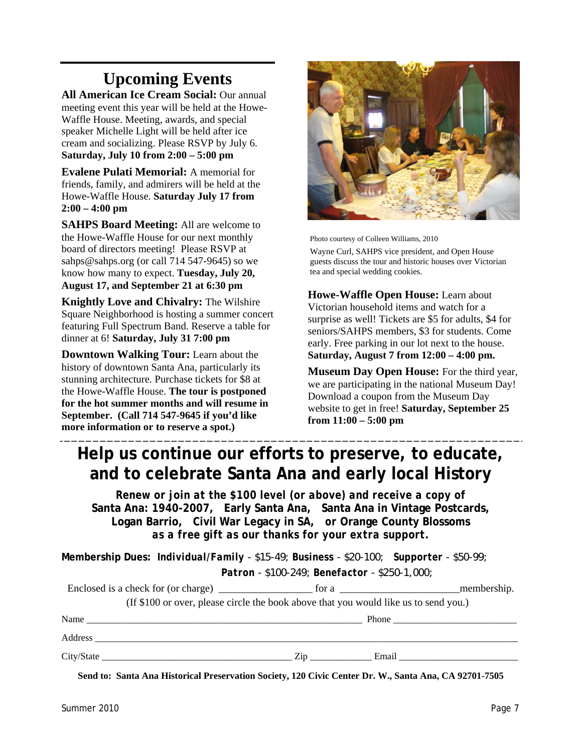#### **Upcoming Events**

**All American Ice Cream Social:** Our annual meeting event this year will be held at the Howe-Waffle House. Meeting, awards, and special speaker Michelle Light will be held after ice cream and socializing. Please RSVP by July 6. **Saturday, July 10 from 2:00 – 5:00 pm**

**Evalene Pulati Memorial:** A memorial for friends, family, and admirers will be held at the Howe-Waffle House. **Saturday July 17 from 2:00 – 4:00 pm** 

**SAHPS Board Meeting:** All are welcome to the Howe-Waffle House for our next monthly board of directors meeting! Please RSVP at sahps@sahps.org (or call 714 547-9645) so we know how many to expect. **Tuesday, July 20, August 17, and September 21 at 6:30 pm** 

**Knightly Love and Chivalry:** The Wilshire Square Neighborhood is hosting a summer concert featuring Full Spectrum Band. Reserve a table for dinner at 6! **Saturday, July 31 7:00 pm** 

**Downtown Walking Tour:** Learn about the history of downtown Santa Ana, particularly its stunning architecture. Purchase tickets for \$8 at the Howe-Waffle House. **The tour is postponed for the hot summer months and will resume in September. (Call 714 547-9645 if you'd like more information or to reserve a spot.)**



Photo courtesy of Colleen Williams, 2010

Wayne Curl, SAHPS vice president, and Open House guests discuss the tour and historic houses over Victorian tea and special wedding cookies.

**Howe-Waffle Open House:** Learn about Victorian household items and watch for a surprise as well! Tickets are \$5 for adults, \$4 for seniors/SAHPS members, \$3 for students. Come early. Free parking in our lot next to the house. **Saturday, August 7 from 12:00 – 4:00 pm.**

**Museum Day Open House:** For the third year, we are participating in the national Museum Day! Download a coupon from the Museum Day website to get in free! **Saturday, September 25 from 11:00 – 5:00 pm**

#### **Help us continue our efforts to preserve, to educate, and to celebrate Santa Ana and early local History**

*Renew or join at the \$100 level (or above) and receive a copy of*  **Santa Ana: 1940-2007***,* **Early Santa Ana, Santa Ana in Vintage Postcards, Logan Barrio, Civil War Legacy in SA,** *or* **Orange County Blossoms** *as a free gift as our thanks for your extra support.* 

**Membership Dues:** *Individual/Family - \$15-49; Business - \$20-100; Supporter - \$50-99;* 

 *Patron - \$100-249; Benefactor - \$250-1,000;* 

|      |                                                                                      | membership.<br>for a $\frac{1}{\sqrt{1-\frac{1}{2}}\sqrt{1-\frac{1}{2}}\sqrt{1-\frac{1}{2}}\sqrt{1-\frac{1}{2}}\sqrt{1-\frac{1}{2}}}}$ |
|------|--------------------------------------------------------------------------------------|----------------------------------------------------------------------------------------------------------------------------------------|
|      | (If \$100 or over, please circle the book above that you would like us to send you.) |                                                                                                                                        |
| Name |                                                                                      | Phone $\qquad$                                                                                                                         |
|      |                                                                                      |                                                                                                                                        |
|      | Zip                                                                                  | Email                                                                                                                                  |

**Send to: Santa Ana Historical Preservation Society, 120 Civic Center Dr. W., Santa Ana, CA 92701-7505**